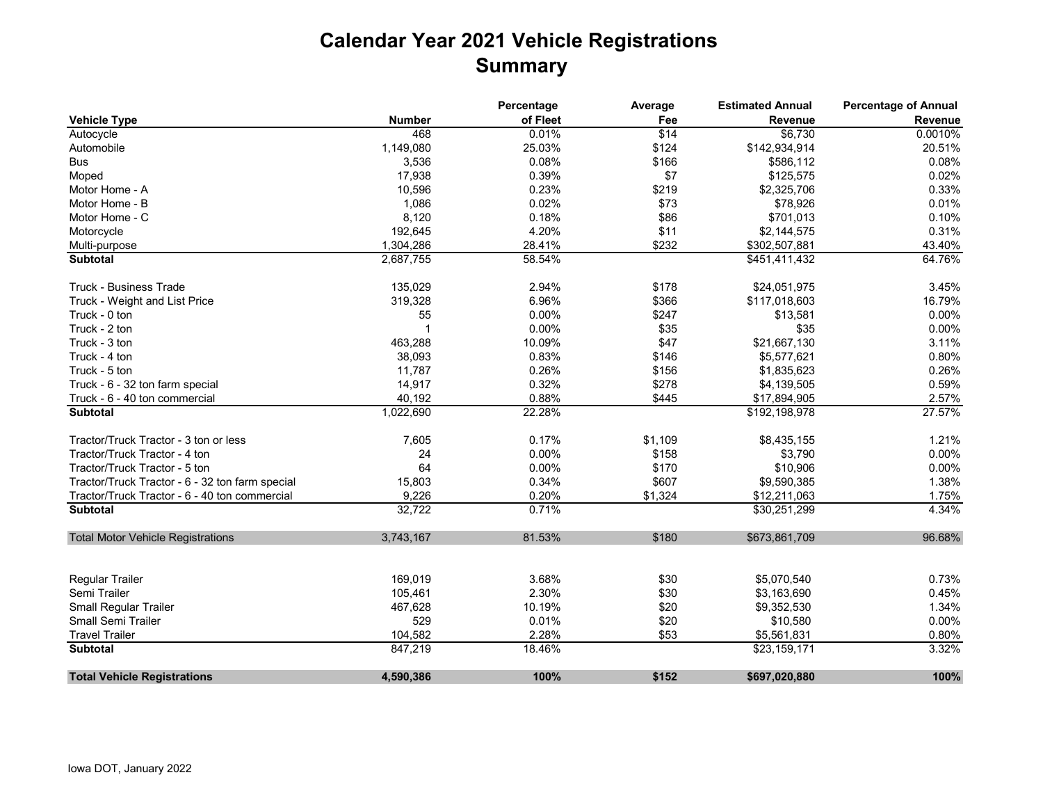## **Calendar Year 2021 Vehicle Registrations Summary**

|                                                 |               | Percentage | Average | <b>Estimated Annual</b> | <b>Percentage of Annual</b> |
|-------------------------------------------------|---------------|------------|---------|-------------------------|-----------------------------|
| <b>Vehicle Type</b>                             | <b>Number</b> | of Fleet   | Fee     | <b>Revenue</b>          | Revenue                     |
| Autocycle                                       | 468           | 0.01%      | \$14    | \$6,730                 | 0.0010%                     |
| Automobile                                      | 1,149,080     | 25.03%     | \$124   | \$142,934,914           | 20.51%                      |
| Bus                                             | 3,536         | 0.08%      | \$166   | \$586,112               | 0.08%                       |
| Moped                                           | 17,938        | 0.39%      | \$7     | \$125,575               | 0.02%                       |
| Motor Home - A                                  | 10,596        | 0.23%      | \$219   | \$2,325,706             | 0.33%                       |
| Motor Home - B                                  | 1,086         | 0.02%      | \$73    | \$78,926                | 0.01%                       |
| Motor Home - C                                  | 8,120         | 0.18%      | \$86    | \$701,013               | 0.10%                       |
| Motorcycle                                      | 192,645       | 4.20%      | \$11    | \$2,144,575             | 0.31%                       |
| Multi-purpose                                   | 1,304,286     | 28.41%     | \$232   | \$302,507,881           | 43.40%                      |
| <b>Subtotal</b>                                 | 2,687,755     | 58.54%     |         | \$451,411,432           | 64.76%                      |
| <b>Truck - Business Trade</b>                   | 135,029       | 2.94%      | \$178   | \$24,051,975            | 3.45%                       |
| Truck - Weight and List Price                   | 319,328       | 6.96%      | \$366   | \$117,018,603           | 16.79%                      |
| Truck - 0 ton                                   | 55            | 0.00%      | \$247   | \$13,581                | 0.00%                       |
| Truck - 2 ton                                   |               | 0.00%      | \$35    | \$35                    | 0.00%                       |
| Truck - 3 ton                                   | 463,288       | 10.09%     | \$47    | \$21,667,130            | 3.11%                       |
| Truck - 4 ton                                   | 38,093        | 0.83%      | \$146   | \$5,577,621             | 0.80%                       |
| Truck - 5 ton                                   | 11,787        | 0.26%      | \$156   | \$1,835,623             | 0.26%                       |
| Truck - 6 - 32 ton farm special                 | 14,917        | 0.32%      | \$278   | \$4,139,505             | 0.59%                       |
| Truck - 6 - 40 ton commercial                   | 40,192        | 0.88%      | \$445   | \$17,894,905            | 2.57%                       |
| <b>Subtotal</b>                                 | 1,022,690     | 22.28%     |         | \$192,198,978           | 27.57%                      |
| Tractor/Truck Tractor - 3 ton or less           | 7,605         | 0.17%      | \$1,109 | \$8,435,155             | 1.21%                       |
| Tractor/Truck Tractor - 4 ton                   | 24            | 0.00%      | \$158   | \$3,790                 | 0.00%                       |
| Tractor/Truck Tractor - 5 ton                   | 64            | 0.00%      | \$170   | \$10,906                | 0.00%                       |
| Tractor/Truck Tractor - 6 - 32 ton farm special | 15,803        | 0.34%      | \$607   | \$9,590,385             | 1.38%                       |
| Tractor/Truck Tractor - 6 - 40 ton commercial   | 9,226         | 0.20%      | \$1,324 | \$12,211,063            | 1.75%                       |
| <b>Subtotal</b>                                 | 32,722        | 0.71%      |         | \$30,251,299            | 4.34%                       |
| <b>Total Motor Vehicle Registrations</b>        | 3,743,167     | 81.53%     | \$180   | \$673,861,709           | 96.68%                      |
|                                                 |               |            |         |                         |                             |
| <b>Regular Trailer</b>                          | 169,019       | 3.68%      | \$30    | \$5,070,540             | 0.73%                       |
| Semi Trailer                                    | 105,461       | 2.30%      | \$30    | \$3,163,690             | 0.45%                       |
| Small Regular Trailer                           | 467,628       | 10.19%     | \$20    | \$9,352,530             | 1.34%                       |
| Small Semi Trailer                              | 529           | 0.01%      | \$20    | \$10,580                | 0.00%                       |
| <b>Travel Trailer</b>                           | 104,582       | 2.28%      | \$53    | \$5,561,831             | 0.80%                       |
| <b>Subtotal</b>                                 | 847,219       | 18.46%     |         | \$23,159,171            | 3.32%                       |
| <b>Total Vehicle Registrations</b>              | 4,590,386     | 100%       | \$152   | \$697,020,880           | 100%                        |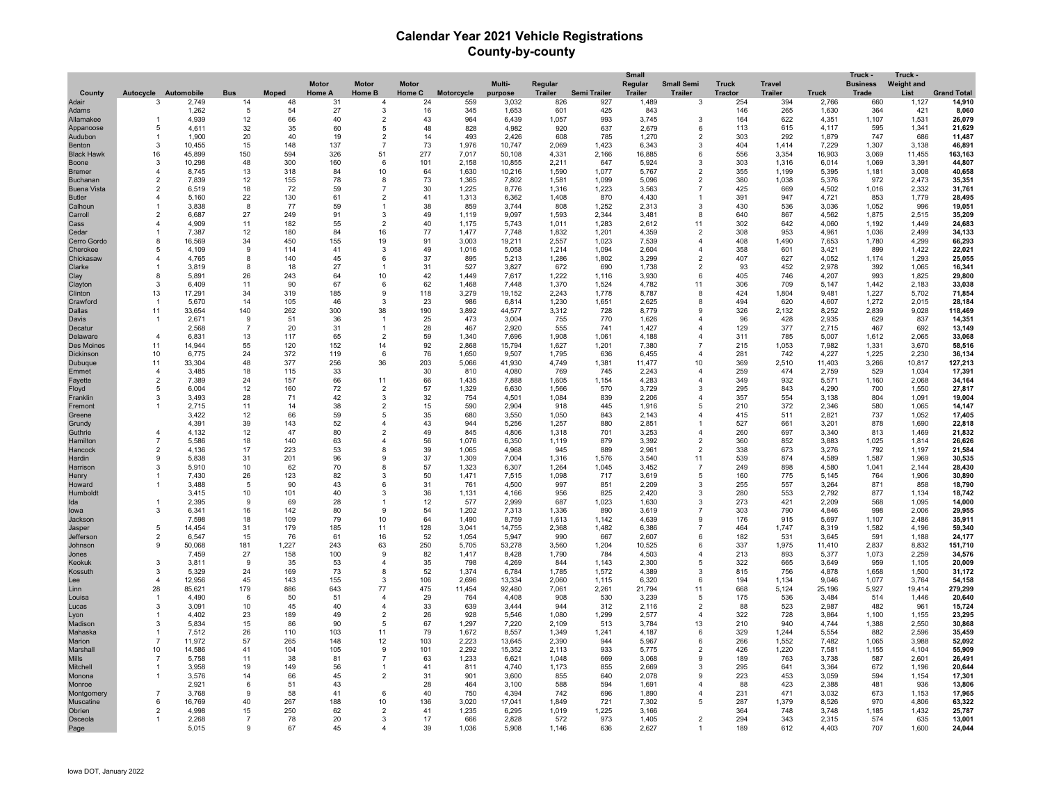## **Calendar Year 2021 Vehicle Registrations County-by-county**

|                                |                          |                 |                    |              |               |                      |              |                |                 |                |                | <b>Small</b>   |                              |                |                |                | Truck -         | Truck -           |                    |
|--------------------------------|--------------------------|-----------------|--------------------|--------------|---------------|----------------------|--------------|----------------|-----------------|----------------|----------------|----------------|------------------------------|----------------|----------------|----------------|-----------------|-------------------|--------------------|
|                                |                          |                 |                    |              | <b>Motor</b>  | <b>Motor</b>         | <b>Motor</b> |                | Multi-          | Regular        |                | Regular        | <b>Small Semi</b>            | <b>Truck</b>   | <b>Travel</b>  |                | <b>Business</b> | <b>Weight and</b> |                    |
| County                         | Autocycle Automobile     |                 | <b>Bus</b>         | <b>Moped</b> | <b>Home A</b> | Home B               | Home C       | Motorcycle     | purpose         | <b>Trailer</b> | Semi Trailer   | <b>Trailer</b> | <b>Trailer</b>               | <b>Tractor</b> | <b>Trailer</b> | <b>Truck</b>   | Trade           | List              | <b>Grand Total</b> |
| Adair                          | 3                        | 2,749           | 14                 | 48<br>54     | 31            | $\overline{4}$<br>3  | 24           | 559            | 3,032           | 826            | 927            | 1,489<br>843   | 3                            | 254            | 394            | 2,766          | 660             | 1,127             | 14,910             |
| Adams<br>Allamakee             | $\overline{1}$           | 1,262<br>4,939  | -5<br>12           | 66           | 27<br>40      | $\overline{2}$       | 16<br>43     | 345<br>964     | 1,653           | 601<br>1,057   | 425<br>993     | 3,745          | 3                            | 146<br>164     | 265<br>622     | 1,630          | 364<br>1,107    | 421<br>1,531      | 8,060<br>26,079    |
| Appanoose                      | -5                       | 4,611           | 32                 | 35           | 60            | -5                   | 48           | 828            | 6,439<br>4,982  | 920            | 637            | 2,679          | 6                            | 113            | 615            | 4,351<br>4,117 | 595             | 1,341             | 21,629             |
| Audubon                        | -1                       | 1.900           | 20                 | 40           | 19            | $\overline{2}$       | 14           | 493            | 2,426           | 608            | 785            | 1,270          | $\overline{2}$               | 303            | 292            | 1,879          | 747             | 686               | 11,487             |
| <b>Benton</b>                  | -3                       | 10.455          | 15                 | 148          | 137           | $\overline{7}$       | 73           | 1,976          | 10.747          | 2,069          | 1,423          | 6.343          | 3                            | 404            | 1.414          | 7,229          | 1,307           | 3.138             | 46,891             |
| <b>Black Hawk</b>              | 16                       | 45,899          | 150                | 594          | 326           | 51                   | 277          | 7,017          | 50,108          | 4,331          | 2,166          | 16,885         | 6                            | 556            | 3,354          | 16,903         | 3,069           | 11,455            | 163,163            |
| Boone                          | 3                        | 10,298          | 48                 | 300          | 160           | 6                    | 101          | 2,158          | 10,855          | 2,211          | 647            | 5,924          | 3                            | 303            | 1,316          | 6,014          | 1,069           | 3,391             | 44,807             |
| <b>Bremer</b>                  | $\overline{4}$           | 8,745           | 13                 | 318          | 84            | 10                   | 64           | 1,630          | 10,216          | 1,590          | 1,077          | 5,767          | $\overline{2}$               | 355            | 1,199          | 5,395          | 1,181           | 3,008             | 40,658             |
| Buchanan                       | $\overline{\mathbf{c}}$  | 7,839           | 12                 | 155          | 78            | 8                    | 73           | 1,365          | 7,802           | 1,581          | 1,099          | 5,096          | $\overline{2}$               | 380            | 1,038          | 5,376          | 972             | 2,473             | 35,351             |
| <b>Buena Vista</b>             | $\overline{\phantom{a}}$ | 6,519           | 18                 | 72           | 59            | $\overline{7}$       | 30           | 1,225          | 8,776           | 1,316          | 1,223          | 3,563          | $\overline{7}$               | 425            | 669            | 4,502          | 1,016           | 2,332             | 31,761             |
| <b>Butler</b>                  | 4                        | 5,160           | 22                 | 130          | 61            | $\overline{2}$       | 41           | 1,313          | 6,362           | 1,408          | 870            | 4,430          |                              | 391            | 947            | 4,721          | 853             | 1,779             | 28,495             |
| Calhoun                        |                          | 3,838           | -8                 | 77           | 59            | 1                    | 38           | 859            | 3,744           | 808            | 1,252          | 2,313          | 3                            | 430            | 536            | 3,036          | 1,052           | 996               | 19,051             |
| Carroll                        | $\overline{\phantom{a}}$ | 6,687           | 27                 | 249          | 91            | 3                    | 49           | 1,119          | 9,097           | 1,593          | 2,344          | 3,481          | 8<br>11                      | 640            | 867            | 4,562          | 1,875           | 2,515             | 35,209             |
| Cass                           |                          | 4.909<br>7,387  | 11<br>12           | 182<br>180   | 55<br>84      | $\overline{2}$<br>16 | 40<br>77     | 1,175<br>1,477 | 5,743<br>7,748  | 1,011<br>1,832 | 1,283<br>1,201 | 2,612<br>4,359 | $\overline{2}$               | 302<br>308     | 642<br>953     | 4,060<br>4,961 | 1,192<br>1,036  | 1,449<br>2,499    | 24,683<br>34,133   |
| Cedar<br>Cerro Gordo           | 8                        | 16,569          | 34                 | 450          | 155           | 19                   | 91           | 3,003          | 19,211          | 2,557          | 1,023          | 7,539          | 4                            | 408            | 1,490          | 7,653          | 1,780           | 4,299             | 66,293             |
| Cherokee                       | 5                        | 4,109           | -9                 | 114          | 41            | 3                    | 49           | 1,016          | 5,058           | 1,214          | 1,094          | 2,604          | $\overline{\mathbf{4}}$      | 358            | 601            | 3,421          | 899             | 1,422             | 22,021             |
| Chickasaw                      | 4                        | 4,765           | 8                  | 140          | 45            | 6                    | 37           | 895            | 5,213           | 1,286          | 1,802          | 3,299          | $\overline{2}$               | 407            | 627            | 4,052          | 1,174           | 1,293             | 25,055             |
| Clarke                         |                          | 3,819           | 8                  | 18           | 27            | -1                   | 31           | 527            | 3,827           | 672            | 690            | 1,738          | $\overline{2}$               | 93             | 452            | 2,978          | 392             | 1,065             | 16,341             |
| Clay                           | 8                        | 5,891           | 26                 | 243          | 64            | 10                   | 42           | 1,449          | 7,617           | 1,222          | 1,116          | 3,930          | 6                            | 405            | 746            | 4,207          | 993             | 1,825             | 29,800             |
| Clayton                        | 3                        | 6,409           | 11                 | 90           | 67            | 6                    | 62           | 1,468          | 7,448           | 1,370          | 1,524          | 4,782          | 11                           | 306            | 709            | 5,147          | 1,442           | 2,183             | 33,038             |
| Clinton                        | 13                       | 17,291          | 34                 | 319          | 185           | 9                    | 118          | 3,279          | 19,152          | 2,243          | 1,778          | 8,787          | 8                            | 424            | 1,804          | 9,481          | 1,227           | 5,702             | 71,854             |
| Crawford                       |                          | 5,670           | 14                 | 105          | 46            | 3                    | 23           | 986            | 6,814           | 1,230          | 1,651          | 2,625          | 8                            | 494            | 620            | 4,607          | 1,272           | 2,015             | 28,184             |
| Dallas                         | 11                       | 33,654          | 140                | 262          | 300           | 38                   | 190          | 3,892          | 44,577          | 3,312          | 728            | 8,779          | 9                            | 326            | 2,132          | 8,252          | 2,839           | 9,028             | 118,469            |
| Davis                          | $\overline{1}$           | 2,671           | -9                 | 51           | 36            | $\mathbf{1}$         | 25           | 473            | 3,004           | 755            | 770            | 1,626          | $\Delta$                     | 96             | 428            | 2,935          | 629             | 837               | 14,351             |
| Decatur                        |                          | 2.568           | $\overline{7}$     | 20           | 31            | $\overline{1}$       | 28           | 467            | 2,920           | 555            | 741            | 1,427          | 4                            | 129            | 377            | 2,715          | 467             | 692               | 13,149             |
| Delaware                       | $\mathbf{A}$             | 6,831           | 13                 | 117          | 65            | $\overline{2}$       | 59           | 1,340          | 7,696           | 1,908          | 1,061          | 4,188          | $\Delta$<br>$\overline{7}$   | 311            | 785            | 5,007          | 1,612           | 2,065             | 33,068             |
| <b>Des Moines</b><br>Dickinson | 11<br>10                 | 14,944<br>6.775 | 55<br>24           | 120<br>372   | 152<br>119    | 14<br>6              | 92<br>76     | 2,868<br>1.650 | 15,794<br>9.507 | 1,627<br>1.795 | 1,201<br>636   | 7,380<br>6.455 | $\overline{4}$               | 215<br>281     | 1,053<br>742   | 7,982<br>4.227 | 1,331<br>1.225  | 3,670<br>2.230    | 58,516<br>36.134   |
| Dubuque                        | 11                       | 33,304          | 48                 | 377          | 256           | 36                   | 203          | 5,066          | 41.930          | 4,749          | 1,381          | 11.477         | 10                           | 369            | 2,510          | 11.403         | 3,266           | 10,817            | 127.213            |
| Emmet                          | $\overline{4}$           | 3,485           | 18                 | 115          | 33            |                      | 30           | 810            | 4,080           | 769            | 745            | 2,243          | 4                            | 259            | 474            | 2,759          | 529             | 1,034             | 17,391             |
| Favette                        | $\overline{2}$           | 7,389           | 24                 | 157          | 66            | 11                   | 66           | 1,435          | 7,888           | 1,605          | 1,154          | 4,283          | $\overline{\mathbf{4}}$      | 349            | 932            | 5,571          | 1,160           | 2,068             | 34,164             |
| Floyd                          | 5                        | 6,004           | 12                 | 160          | 72            | $\overline{2}$       | 57           | 1,329          | 6,630           | 1,566          | 570            | 3,729          | 3                            | 295            | 843            | 4,290          | 700             | 1,550             | 27,817             |
| Franklin                       | 3                        | 3,493           | 28                 | 71           | 42            | 3                    | 32           | 754            | 4,501           | 1,084          | 839            | 2,206          | $\overline{4}$               | 357            | 554            | 3,138          | 804             | 1,091             | 19,004             |
| Fremont                        |                          | 2,715           | 11                 | 14           | 38            | $\overline{2}$       | 15           | 590            | 2,904           | 918            | 445            | 1,916          | 5                            | 210            | 372            | 2,346          | 580             | 1,065             | 14,147             |
| Greene                         |                          | 3,422           | 12                 | 66           | 59            | 5                    | 35           | 680            | 3,550           | 1,050          | 843            | 2,143          | $\overline{\mathbf{4}}$      | 415            | 511            | 2,821          | 737             | 1,052             | 17,405             |
| Grundy                         |                          | 4,391           | 39                 | 143          | 52            | $\overline{4}$       | 43           | 944            | 5,256           | 1,257          | 880            | 2,851          | 1                            | 527            | 661            | 3,201          | 878             | 1,690             | 22,818             |
| Guthrie                        | $\overline{4}$           | 4,132           | 12                 | 47           | 80            | $\overline{2}$       | 49           | 845            | 4,806           | 1,318          | 701            | 3,253          | $\overline{\mathbf{4}}$      | 260            | 697            | 3,340          | 813             | 1,469             | 21,832             |
| Hamilton                       | 7                        | 5,586           | 18                 | 140          | 63            | 4                    | 56           | 1,076          | 6,350           | 1,119          | 879            | 3,392          | 2                            | 360            | 852            | 3,883          | 1,025           | 1,814             | 26,626             |
| Hancock<br><b>Hardin</b>       | $\overline{2}$<br>9      | 4,136<br>5,838  | 17<br>31           | 223<br>201   | 53<br>96      | 8<br>9               | 39<br>37     | 1,065<br>1,309 | 4,968<br>7,004  | 945<br>1,316   | 889<br>1,576   | 2,961<br>3.540 | $\overline{2}$<br>11         | 338<br>539     | 673<br>874     | 3,276<br>4,589 | 792<br>1,587    | 1,197<br>1,969    | 21,584<br>30,535   |
| Harrison                       | 3                        | 5,910           | 10                 | 62           | 70            | 8                    | 57           | 1,323          | 6,307           | 1,264          | 1,045          | 3.452          | $\overline{7}$               | 249            | 898            | 4,580          | 1,041           | 2,144             | 28,430             |
| Henry                          |                          | 7,430           | 26                 | 123          | 82            | 3                    | 50           | 1,471          | 7,515           | 1,098          | 717            | 3,619          | -5                           | 160            | 775            | 5,145          | 764             | 1,906             | 30,890             |
| Howard                         |                          | 3,488           | -5                 | 90           | 43            | 6                    | 31           | 761            | 4,500           | 997            | 851            | 2,209          | 3                            | 255            | 557            | 3,264          | 871             | 858               | 18,790             |
| Humboldt                       |                          | 3,415           | 10                 | 101          | 40            | 3                    | 36           | 1,131          | 4,166           | 956            | 825            | 2,420          | 3                            | 280            | 553            | 2,792          | 877             | 1,134             | 18,742             |
| Ida                            |                          | 2,395           | 9                  | 69           | 28            |                      | 12           | 577            | 2,999           | 687            | 1,023          | 1,630          | 3                            | 273            | 421            | 2,209          | 568             | 1,095             | 14,000             |
| lowa                           | 3                        | 6,341           | 16                 | 142          | 80            | 9                    | 54           | 1,202          | 7,313           | 1,336          | 890            | 3,619          | $\overline{7}$               | 303            | 790            | 4,846          | 998             | 2,006             | 29,955             |
| Jackson                        |                          | 7,598           | 18                 | 109          | 79            | 10                   | 64           | 1,490          | 8,759           | 1,613          | 1,142          | 4,639          | 9                            | 176            | 915            | 5,697          | 1,107           | 2,486             | 35,91'             |
| Jasper                         | 5                        | 14,454          | 31                 | 179          | 185           | 11                   | 128          | 3,041          | 14,755          | 2,368          | 1,482          | 6,386          | $\overline{7}$               | 464            | 1,747          | 8,319          | 1,582           | 4,196             | 59,340             |
| Jefferson                      | $\overline{2}$           | 6,547           | 15                 | 76           | 61            | 16                   | 52           | 1,054          | 5,947           | 990            | 667            | 2,607          | 6                            | 182            | 531            | 3,645          | 591             | 1,188             | 24,177             |
| Johnson                        | 9                        | 50,068          | 181                | 1,227        | 243           | 63                   | 250          | 5,705          | 53,278          | 3,560          | 1,204          | 10,525         | 6<br>$\Delta$                | 337            | 1,975          | 11,410         | 2,837           | 8,832             | 151,710            |
| Jones                          |                          | 7,459           | 27<br>$\mathbf{q}$ | 158          | 100           | 9<br>$\Delta$        | 82           | 1,417          | 8,428           | 1,790<br>844   | 784            | 4,503          | 5                            | 213            | 893            | 5,377          | 1,073           | 2,259             | 34,576             |
| Keokuk<br>Kossuth              | -3<br>-3                 | 3,811<br>5.329  | 24                 | 35<br>169    | 53<br>73      | 8                    | 35<br>52     | 798<br>1,374   | 4,269<br>6,784  | 1,785          | 1,143<br>1,572 | 2.300<br>4,389 | 3                            | 322<br>815     | 665<br>756     | 3,649<br>4,878 | 959<br>1,658    | 1,105<br>1.500    | 20,009<br>31,172   |
| Lee                            | $\overline{4}$           | 12.956          | 45                 | 143          | 155           | 3                    | 106          | 2.696          | 13.334          | 2.060          | 1,115          | 6.320          | 6                            | 194            | 1.134          | 9.046          | 1.077           | 3.764             | 54,158             |
| Linn                           | 28                       | 85,621          | 179                | 886          | 643           | 77                   | 475          | 11,454         | 92,480          | 7,061          | 2,261          | 21,794         | 11                           | 668            | 5,124          | 25,196         | 5,927           | 19,414            | 279,299            |
| Louisa                         |                          | 4,490           | 6                  | 50           | 51            | $\overline{4}$       | 29           | 764            | 4,408           | 908            | 530            | 3,239          | 5                            | 175            | 536            | 3,484          | 514             | 1,446             | 20,640             |
| Lucas                          | 3                        | 3,091           | 10                 | 45           | 40            | $\overline{4}$       | 33           | 639            | 3,444           | 944            | 312            | 2,116          | $\overline{2}$               | 88             | 523            | 2,987          | 482             | 961               | 15,724             |
| Lyon                           |                          | 4,402           | 23                 | 189          | 49            | $\overline{2}$       | 26           | 928            | 5,546           | 1,080          | 1,299          | 2,577          | $\overline{4}$               | 322            | 728            | 3,864          | 1,100           | 1,155             | 23,295             |
| Madison                        |                          | 5,834           | 15                 | 86           | 90            | $\overline{5}$       | 67           | 1,297          | 7,220           | 2,109          | 513            | 3,784          | 13                           | 210            | 940            | 4,744          | 1,388           | 2,550             | 30,868             |
| Mahaska                        |                          | 7,512           | 26                 | 110          | 103           | 11                   | 79           | 1,672          | 8,557           | 1,349          | 1,241          | 4,187          | 6                            | 329            | 1,244          | 5,554          | 882             | 2,596             | 35,459             |
| Marion                         | -7                       | 11,972          | 57                 | 265          | 148           | 12                   | 103          | 2,223          | 13,645          | 2,390          | 944            | 5,967          | 6                            | 266            | 1,552          | 7,482          | 1,065           | 3,988             | 52,092             |
| Marshall                       | 10                       | 14,586          | 41                 | 104          | 105           | 9                    | 101          | 2,292          | 15,352          | 2,113          | 933            | 5,775          | 2                            | 426            | 1,220          | 7,581          | 1,155           | 4,104             | 55,909             |
| <b>Mills</b>                   |                          | 5.758           | 11                 | 38           | 81            | 7                    | 63           | 1,233          | 6,621           | 1.048          | 669            | 3,068          | 9                            | 189            | 763            | 3,738          | 587             | 2,601             | 26,491             |
| Mitchell                       |                          | 3,958           | 19                 | 149          | 56            | $\overline{1}$       | 41           | 811            | 4,740           | 1,173          | 855            | 2,669          | 3                            | 295            | 641            | 3,364          | 672             | 1,196             | 20,644             |
| Monona                         |                          | 3,576           | 14                 | 66           | 45            | $\overline{2}$       | 31           | 901            | 3,600           | 855            | 640            | 2,078          | 9                            | 223            | 453            | 3,059          | 594             | 1,154             | 17,301             |
| Monroe                         | $\overline{7}$           | 2,921<br>3.768  | -6<br>9            | 51<br>58     | 43<br>41      | 6                    | 28<br>40     | 464            | 3,100<br>4.394  | 588<br>742     | 594<br>696     | 1,691<br>1,890 | $\overline{\mathbf{4}}$<br>4 | 88             | 423<br>471     | 2,388<br>3,032 | 481<br>673      | 936<br>1,153      | 13,806<br>17,965   |
| Montgomery<br><b>Muscatine</b> | 6                        | 16,769          | 40                 | 267          | 188           | 10                   | 136          | 750<br>3,020   | 17,041          | 1,849          | 721            | 7,302          | 5                            | 231<br>287     | 1,379          | 8,526          | 970             | 4,806             | 63,322             |
| Obrien                         | 2                        | 4,998           | 15                 | 250          | 62            | $\overline{2}$       | 41           | 1,235          | 6,295           | 1,019          | 1,225          | 3,166          |                              | 364            | 748            | 3,748          | 1,185           | 1,432             | 25,787             |
| Osceola                        |                          | 2,268           |                    | 78           | 20            | 3                    | 17           | 666            | 2,828           | 572            | 973            | 1,405          | $\overline{2}$               | 294            | 343            | 2.315          | 574             | 635               | 13,001             |
| Page                           |                          | 5,015           | $\mathbf{Q}$       | 67           | 45            | 4                    | 39           | 1,036          | 5,908           | 1,146          | 636            | 2,627          |                              | 189            | 612            | 4,403          | 707             | 1,600             | 24,044             |